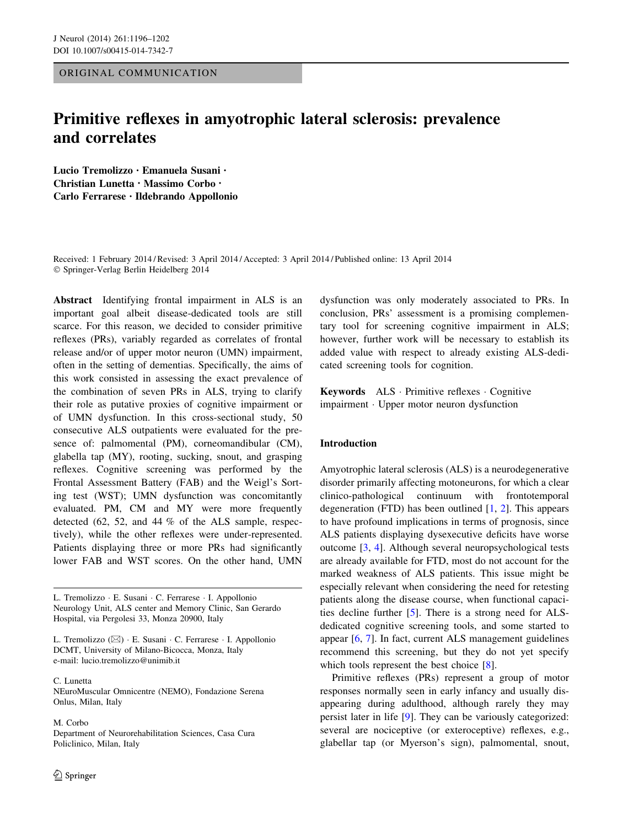ORIGINAL COMMUNICATION

# Primitive reflexes in amyotrophic lateral sclerosis: prevalence and correlates

Lucio Tremolizzo • Emanuela Susani • Christian Lunetta • Massimo Corbo • Carlo Ferrarese • Ildebrando Appollonio

Received: 1 February 2014 / Revised: 3 April 2014 / Accepted: 3 April 2014 / Published online: 13 April 2014 - Springer-Verlag Berlin Heidelberg 2014

Abstract Identifying frontal impairment in ALS is an important goal albeit disease-dedicated tools are still scarce. For this reason, we decided to consider primitive reflexes (PRs), variably regarded as correlates of frontal release and/or of upper motor neuron (UMN) impairment, often in the setting of dementias. Specifically, the aims of this work consisted in assessing the exact prevalence of the combination of seven PRs in ALS, trying to clarify their role as putative proxies of cognitive impairment or of UMN dysfunction. In this cross-sectional study, 50 consecutive ALS outpatients were evaluated for the presence of: palmomental (PM), corneomandibular (CM), glabella tap (MY), rooting, sucking, snout, and grasping reflexes. Cognitive screening was performed by the Frontal Assessment Battery (FAB) and the Weigl's Sorting test (WST); UMN dysfunction was concomitantly evaluated. PM, CM and MY were more frequently detected (62, 52, and 44 % of the ALS sample, respectively), while the other reflexes were under-represented. Patients displaying three or more PRs had significantly lower FAB and WST scores. On the other hand, UMN

L. Tremolizzo - E. Susani - C. Ferrarese - I. Appollonio Neurology Unit, ALS center and Memory Clinic, San Gerardo Hospital, via Pergolesi 33, Monza 20900, Italy

L. Tremolizzo (⊠) · E. Susani · C. Ferrarese · I. Appollonio DCMT, University of Milano-Bicocca, Monza, Italy e-mail: lucio.tremolizzo@unimib.it

C. Lunetta NEuroMuscular Omnicentre (NEMO), Fondazione Serena Onlus, Milan, Italy

M. Corbo Department of Neurorehabilitation Sciences, Casa Cura Policlinico, Milan, Italy

dysfunction was only moderately associated to PRs. In conclusion, PRs' assessment is a promising complementary tool for screening cognitive impairment in ALS; however, further work will be necessary to establish its added value with respect to already existing ALS-dedicated screening tools for cognition.

Keywords ALS - Primitive reflexes - Cognitive impairment - Upper motor neuron dysfunction

# Introduction

Amyotrophic lateral sclerosis (ALS) is a neurodegenerative disorder primarily affecting motoneurons, for which a clear clinico-pathological continuum with frontotemporal degeneration (FTD) has been outlined  $[1, 2]$  $[1, 2]$  $[1, 2]$  $[1, 2]$ . This appears to have profound implications in terms of prognosis, since ALS patients displaying dysexecutive deficits have worse outcome [\[3](#page-5-0), [4](#page-5-0)]. Although several neuropsychological tests are already available for FTD, most do not account for the marked weakness of ALS patients. This issue might be especially relevant when considering the need for retesting patients along the disease course, when functional capacities decline further [\[5](#page-5-0)]. There is a strong need for ALSdedicated cognitive screening tools, and some started to appear [\[6](#page-5-0), [7\]](#page-5-0). In fact, current ALS management guidelines recommend this screening, but they do not yet specify which tools represent the best choice [[8\]](#page-5-0).

Primitive reflexes (PRs) represent a group of motor responses normally seen in early infancy and usually disappearing during adulthood, although rarely they may persist later in life [\[9](#page-5-0)]. They can be variously categorized: several are nociceptive (or exteroceptive) reflexes, e.g., glabellar tap (or Myerson's sign), palmomental, snout,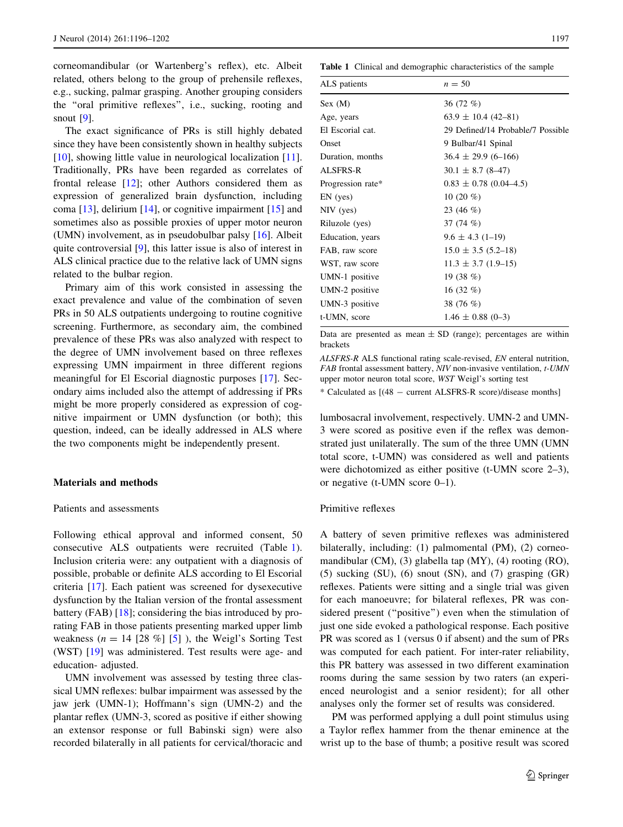<span id="page-1-0"></span>corneomandibular (or Wartenberg's reflex), etc. Albeit related, others belong to the group of prehensile reflexes, e.g., sucking, palmar grasping. Another grouping considers the ''oral primitive reflexes'', i.e., sucking, rooting and snout [\[9](#page-5-0)].

The exact significance of PRs is still highly debated since they have been consistently shown in healthy subjects [\[10](#page-5-0)], showing little value in neurological localization [\[11](#page-5-0)]. Traditionally, PRs have been regarded as correlates of frontal release [\[12](#page-5-0)]; other Authors considered them as expression of generalized brain dysfunction, including coma  $[13]$  $[13]$ , delirium  $[14]$  $[14]$ , or cognitive impairment  $[15]$  $[15]$  and sometimes also as possible proxies of upper motor neuron (UMN) involvement, as in pseudobulbar palsy [\[16](#page-6-0)]. Albeit quite controversial [\[9](#page-5-0)], this latter issue is also of interest in ALS clinical practice due to the relative lack of UMN signs related to the bulbar region.

Primary aim of this work consisted in assessing the exact prevalence and value of the combination of seven PRs in 50 ALS outpatients undergoing to routine cognitive screening. Furthermore, as secondary aim, the combined prevalence of these PRs was also analyzed with respect to the degree of UMN involvement based on three reflexes expressing UMN impairment in three different regions meaningful for El Escorial diagnostic purposes [[17\]](#page-6-0). Secondary aims included also the attempt of addressing if PRs might be more properly considered as expression of cognitive impairment or UMN dysfunction (or both); this question, indeed, can be ideally addressed in ALS where the two components might be independently present.

#### Materials and methods

## Patients and assessments

Following ethical approval and informed consent, 50 consecutive ALS outpatients were recruited (Table 1). Inclusion criteria were: any outpatient with a diagnosis of possible, probable or definite ALS according to El Escorial criteria [[17\]](#page-6-0). Each patient was screened for dysexecutive dysfunction by the Italian version of the frontal assessment battery (FAB) [\[18](#page-6-0)]; considering the bias introduced by prorating FAB in those patients presenting marked upper limb weakness ( $n = 14$  [28 %] [\[5](#page-5-0)]), the Weigl's Sorting Test (WST) [[19\]](#page-6-0) was administered. Test results were age- and education- adjusted.

UMN involvement was assessed by testing three classical UMN reflexes: bulbar impairment was assessed by the jaw jerk (UMN-1); Hoffmann's sign (UMN-2) and the plantar reflex (UMN-3, scored as positive if either showing an extensor response or full Babinski sign) were also recorded bilaterally in all patients for cervical/thoracic and

Table 1 Clinical and demographic characteristics of the sample

| $n = 50$                          |
|-----------------------------------|
| 36 $(72 \%)$                      |
| $63.9 \pm 10.4$ (42-81)           |
| 29 Defined/14 Probable/7 Possible |
| 9 Bulbar/41 Spinal                |
| $36.4 \pm 29.9$ (6-166)           |
| $30.1 \pm 8.7$ (8-47)             |
| $0.83 \pm 0.78$ (0.04–4.5)        |
| 10 $(20 \%)$                      |
| 23 (46 %)                         |
| 37 $(74\%)$                       |
| $9.6 \pm 4.3$ (1-19)              |
| $15.0 \pm 3.5$ (5.2–18)           |
| $11.3 \pm 3.7$ (1.9–15)           |
| 19 $(38\%)$                       |
| 16 $(32 \%)$                      |
| 38 (76 %)                         |
| $1.46 \pm 0.88$ (0-3)             |
|                                   |

Data are presented as mean  $\pm$  SD (range); percentages are within brackets

ALSFRS-R ALS functional rating scale-revised, EN enteral nutrition, FAB frontal assessment battery, NIV non-invasive ventilation, t-UMN upper motor neuron total score, WST Weigl's sorting test

\* Calculated as [(48 - current ALSFRS-R score)/disease months]

lumbosacral involvement, respectively. UMN-2 and UMN-3 were scored as positive even if the reflex was demonstrated just unilaterally. The sum of the three UMN (UMN total score, t-UMN) was considered as well and patients were dichotomized as either positive (t-UMN score 2–3), or negative (t-UMN score 0–1).

## Primitive reflexes

A battery of seven primitive reflexes was administered bilaterally, including: (1) palmomental (PM), (2) corneomandibular (CM), (3) glabella tap (MY), (4) rooting (RO), (5) sucking (SU), (6) snout (SN), and (7) grasping (GR) reflexes. Patients were sitting and a single trial was given for each manoeuvre; for bilateral reflexes, PR was considered present ("positive") even when the stimulation of just one side evoked a pathological response. Each positive PR was scored as 1 (versus 0 if absent) and the sum of PRs was computed for each patient. For inter-rater reliability, this PR battery was assessed in two different examination rooms during the same session by two raters (an experienced neurologist and a senior resident); for all other analyses only the former set of results was considered.

PM was performed applying a dull point stimulus using a Taylor reflex hammer from the thenar eminence at the wrist up to the base of thumb; a positive result was scored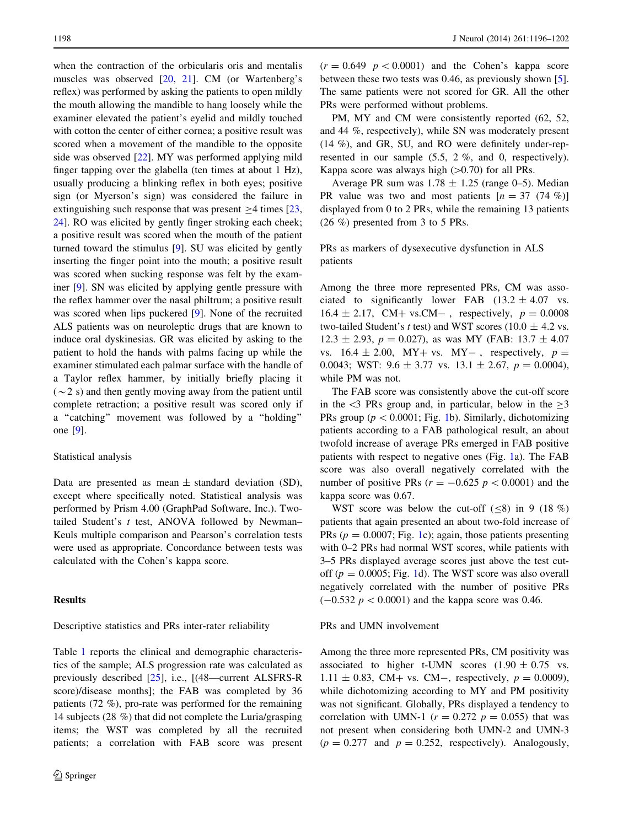when the contraction of the orbicularis oris and mentalis muscles was observed [[20,](#page-6-0) [21](#page-6-0)]. CM (or Wartenberg's reflex) was performed by asking the patients to open mildly the mouth allowing the mandible to hang loosely while the examiner elevated the patient's eyelid and mildly touched with cotton the center of either cornea; a positive result was scored when a movement of the mandible to the opposite side was observed [\[22](#page-6-0)]. MY was performed applying mild finger tapping over the glabella (ten times at about 1 Hz), usually producing a blinking reflex in both eyes; positive sign (or Myerson's sign) was considered the failure in extinguishing such response that was present  $\geq$ 4 times [[23,](#page-6-0) [24](#page-6-0)]. RO was elicited by gently finger stroking each cheek; a positive result was scored when the mouth of the patient turned toward the stimulus [[9\]](#page-5-0). SU was elicited by gently inserting the finger point into the mouth; a positive result was scored when sucking response was felt by the examiner [\[9](#page-5-0)]. SN was elicited by applying gentle pressure with the reflex hammer over the nasal philtrum; a positive result was scored when lips puckered [\[9](#page-5-0)]. None of the recruited ALS patients was on neuroleptic drugs that are known to induce oral dyskinesias. GR was elicited by asking to the patient to hold the hands with palms facing up while the examiner stimulated each palmar surface with the handle of a Taylor reflex hammer, by initially briefly placing it  $(\sim 2 \text{ s})$  and then gently moving away from the patient until complete retraction; a positive result was scored only if a ''catching'' movement was followed by a ''holding'' one [\[9](#page-5-0)].

## Statistical analysis

Data are presented as mean  $\pm$  standard deviation (SD), except where specifically noted. Statistical analysis was performed by Prism 4.00 (GraphPad Software, Inc.). Twotailed Student's  $t$  test, ANOVA followed by Newman-Keuls multiple comparison and Pearson's correlation tests were used as appropriate. Concordance between tests was calculated with the Cohen's kappa score.

# Results

Descriptive statistics and PRs inter-rater reliability

Table [1](#page-1-0) reports the clinical and demographic characteristics of the sample; ALS progression rate was calculated as previously described [[25\]](#page-6-0), i.e., [(48––current ALSFRS-R score)/disease months]; the FAB was completed by 36 patients (72 %), pro-rate was performed for the remaining 14 subjects (28 %) that did not complete the Luria/grasping items; the WST was completed by all the recruited patients; a correlation with FAB score was present  $(r = 0.649 \, p < 0.0001)$  and the Cohen's kappa score between these two tests was 0.46, as previously shown [\[5](#page-5-0)]. The same patients were not scored for GR. All the other PRs were performed without problems.

PM, MY and CM were consistently reported  $(62, 52, 52)$ and 44 %, respectively), while SN was moderately present (14 %), and GR, SU, and RO were definitely under-represented in our sample (5.5, 2 %, and 0, respectively). Kappa score was always high  $(>0.70)$  for all PRs.

Average PR sum was  $1.78 \pm 1.25$  (range 0–5). Median PR value was two and most patients  $[n = 37 (74 \%)]$ displayed from 0 to 2 PRs, while the remaining 13 patients (26 %) presented from 3 to 5 PRs.

PRs as markers of dysexecutive dysfunction in ALS patients

Among the three more represented PRs, CM was associated to significantly lower FAB  $(13.2 \pm 4.07 \text{ vs.}$  $16.4 \pm 2.17$ , CM+ vs.CM-, respectively,  $p = 0.0008$ two-tailed Student's t test) and WST scores (10.0  $\pm$  4.2 vs.  $12.3 \pm 2.93$ ,  $p = 0.027$ ), as was MY (FAB:  $13.7 \pm 4.07$ vs.  $16.4 \pm 2.00$ , MY+ vs. MY-, respectively,  $p =$ 0.0043; WST:  $9.6 \pm 3.77$  vs.  $13.1 \pm 2.67$ ,  $p = 0.0004$ ), while PM was not.

The FAB score was consistently above the cut-off score in the  $\leq$ 3 PRs group and, in particular, below in the  $\geq$ 3 PRs group ( $p < 0.0001$ ; Fig. [1b](#page-3-0)). Similarly, dichotomizing patients according to a FAB pathological result, an about twofold increase of average PRs emerged in FAB positive patients with respect to negative ones (Fig. [1](#page-3-0)a). The FAB score was also overall negatively correlated with the number of positive PRs ( $r = -0.625$   $p < 0.0001$ ) and the kappa score was 0.67.

WST score was below the cut-off  $(\leq 8)$  in 9 (18 %) patients that again presented an about two-fold increase of PRs ( $p = 0.0007$ ; Fig. [1c](#page-3-0)); again, those patients presenting with 0–2 PRs had normal WST scores, while patients with 3–5 PRs displayed average scores just above the test cutoff ( $p = 0.0005$ ; Fig. [1](#page-3-0)d). The WST score was also overall negatively correlated with the number of positive PRs  $(-0.532 \, p < 0.0001)$  and the kappa score was 0.46.

# PRs and UMN involvement

Among the three more represented PRs, CM positivity was associated to higher t-UMN scores  $(1.90 \pm 0.75 \text{ vs.})$  $1.11 \pm 0.83$ , CM+ vs. CM-, respectively,  $p = 0.0009$ ), while dichotomizing according to MY and PM positivity was not significant. Globally, PRs displayed a tendency to correlation with UMN-1 ( $r = 0.272$   $p = 0.055$ ) that was not present when considering both UMN-2 and UMN-3  $(p = 0.277$  and  $p = 0.252$ , respectively). Analogously,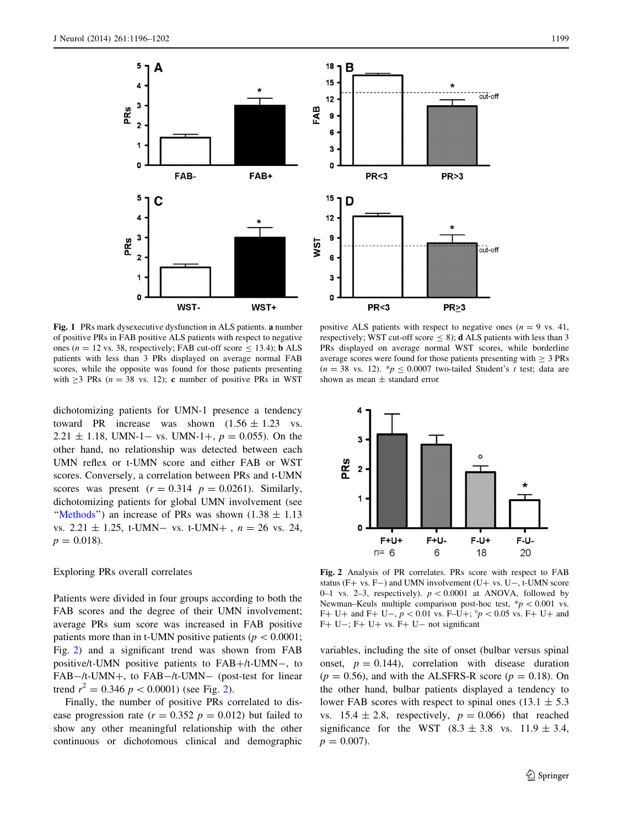<span id="page-3-0"></span>

3 O **PR<3 PR>3** 15 D  $12$ 9 **NST** . . . .<br>cut-off 6 3 0  $PR < 3$  $PR<sub>23</sub>$ 

18 B

15

 $12$ 

6

FAB 9

Fig. 1 PRs mark dysexecutive dysfunction in ALS patients. a number of positive PRs in FAB positive ALS patients with respect to negative ones ( $n = 12$  vs. 38, respectively; FAB cut-off score  $\leq 13.4$ ); **b** ALS patients with less than 3 PRs displayed on average normal FAB scores, while the opposite was found for those patients presenting with  $\geq$ 3 PRs (n = 38 vs. 12); c number of positive PRs in WST

dichotomizing patients for UMN-1 presence a tendency toward PR increase was shown  $(1.56 \pm 1.23 \text{ vs.}$ 2.21  $\pm$  1.18, UMN-1– vs. UMN-1+,  $p = 0.055$ ). On the other hand, no relationship was detected between each UMN reflex or t-UMN score and either FAB or WST scores. Conversely, a correlation between PRs and t-UMN scores was present  $(r = 0.314 \text{ } p = 0.0261)$ . Similarly, dichotomizing patients for global UMN involvement (see "[Methods](#page-1-0)") an increase of PRs was shown  $(1.38 \pm 1.13)$ vs.  $2.21 \pm 1.25$ , t-UMN- vs. t-UMN+,  $n = 26$  vs. 24,  $p = 0.018$ .

### Exploring PRs overall correlates

Patients were divided in four groups according to both the FAB scores and the degree of their UMN involvement; average PRs sum score was increased in FAB positive patients more than in t-UMN positive patients ( $p\lt0.0001$ ; Fig. 2) and a significant trend was shown from FAB positive/t-UMN positive patients to  $FAB+$ /t-UMN-, to FAB-/t-UMN+, to FAB-/t-UMN- (post-test for linear trend  $r^2 = 0.346 \ p \lt 0.0001$ ) (see Fig. 2).

Finally, the number of positive PRs correlated to disease progression rate  $(r = 0.352 \, p = 0.012)$  but failed to show any other meaningful relationship with the other continuous or dichotomous clinical and demographic cut-off

positive ALS patients with respect to negative ones  $(n = 9 \text{ vs. } 41,$ respectively; WST cut-off score  $\leq$  8); **d** ALS patients with less than 3 PRs displayed on average normal WST scores, while borderline average scores were found for those patients presenting with  $\geq 3$  PRs  $(n = 38 \text{ vs. } 12)$ . \* $p \le 0.0007$  two-tailed Student's t test; data are shown as mean ± standard error



Fig. 2 Analysis of PR correlates. PRs score with respect to FAB status (F+ vs. F-) and UMN involvement (U+ vs. U-, t-UMN score 0–1 vs. 2–3, respectively).  $p < 0.0001$  at ANOVA, followed by Newman–Keuls multiple comparison post-hoc test,  $* p < 0.001$  vs. F+ U+ and F+ U-,  $p < 0.01$  vs. F–U+;  $\degree p < 0.05$  vs. F+ U+ and  $F+ U-$ ;  $F+ U+ vs$ .  $F+ U-$  not significant

variables, including the site of onset (bulbar versus spinal onset,  $p = 0.144$ , correlation with disease duration  $(p = 0.56)$ , and with the ALSFRS-R score  $(p = 0.18)$ . On the other hand, bulbar patients displayed a tendency to lower FAB scores with respect to spinal ones  $(13.1 \pm 5.3)$ vs.  $15.4 \pm 2.8$ , respectively,  $p = 0.066$ ) that reached significance for the WST  $(8.3 \pm 3.8 \text{ vs. } 11.9 \pm 3.4,$  $p = 0.007$ ).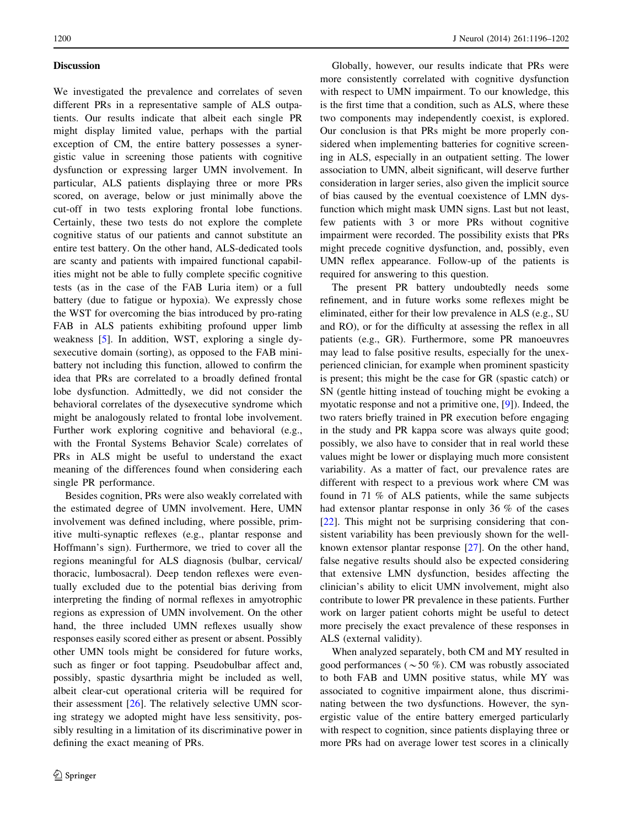## **Discussion**

We investigated the prevalence and correlates of seven different PRs in a representative sample of ALS outpatients. Our results indicate that albeit each single PR might display limited value, perhaps with the partial exception of CM, the entire battery possesses a synergistic value in screening those patients with cognitive dysfunction or expressing larger UMN involvement. In particular, ALS patients displaying three or more PRs scored, on average, below or just minimally above the cut-off in two tests exploring frontal lobe functions. Certainly, these two tests do not explore the complete cognitive status of our patients and cannot substitute an entire test battery. On the other hand, ALS-dedicated tools are scanty and patients with impaired functional capabilities might not be able to fully complete specific cognitive tests (as in the case of the FAB Luria item) or a full battery (due to fatigue or hypoxia). We expressly chose the WST for overcoming the bias introduced by pro-rating FAB in ALS patients exhibiting profound upper limb weakness [\[5](#page-5-0)]. In addition, WST, exploring a single dysexecutive domain (sorting), as opposed to the FAB minibattery not including this function, allowed to confirm the idea that PRs are correlated to a broadly defined frontal lobe dysfunction. Admittedly, we did not consider the behavioral correlates of the dysexecutive syndrome which might be analogously related to frontal lobe involvement. Further work exploring cognitive and behavioral (e.g., with the Frontal Systems Behavior Scale) correlates of PRs in ALS might be useful to understand the exact meaning of the differences found when considering each single PR performance.

Besides cognition, PRs were also weakly correlated with the estimated degree of UMN involvement. Here, UMN involvement was defined including, where possible, primitive multi-synaptic reflexes (e.g., plantar response and Hoffmann's sign). Furthermore, we tried to cover all the regions meaningful for ALS diagnosis (bulbar, cervical/ thoracic, lumbosacral). Deep tendon reflexes were eventually excluded due to the potential bias deriving from interpreting the finding of normal reflexes in amyotrophic regions as expression of UMN involvement. On the other hand, the three included UMN reflexes usually show responses easily scored either as present or absent. Possibly other UMN tools might be considered for future works, such as finger or foot tapping. Pseudobulbar affect and, possibly, spastic dysarthria might be included as well, albeit clear-cut operational criteria will be required for their assessment [\[26](#page-6-0)]. The relatively selective UMN scoring strategy we adopted might have less sensitivity, possibly resulting in a limitation of its discriminative power in defining the exact meaning of PRs.

Globally, however, our results indicate that PRs were more consistently correlated with cognitive dysfunction with respect to UMN impairment. To our knowledge, this is the first time that a condition, such as ALS, where these two components may independently coexist, is explored. Our conclusion is that PRs might be more properly considered when implementing batteries for cognitive screening in ALS, especially in an outpatient setting. The lower association to UMN, albeit significant, will deserve further consideration in larger series, also given the implicit source of bias caused by the eventual coexistence of LMN dysfunction which might mask UMN signs. Last but not least, few patients with 3 or more PRs without cognitive impairment were recorded. The possibility exists that PRs might precede cognitive dysfunction, and, possibly, even UMN reflex appearance. Follow-up of the patients is required for answering to this question.

The present PR battery undoubtedly needs some refinement, and in future works some reflexes might be eliminated, either for their low prevalence in ALS (e.g., SU and RO), or for the difficulty at assessing the reflex in all patients (e.g., GR). Furthermore, some PR manoeuvres may lead to false positive results, especially for the unexperienced clinician, for example when prominent spasticity is present; this might be the case for GR (spastic catch) or SN (gentle hitting instead of touching might be evoking a myotatic response and not a primitive one, [[9\]](#page-5-0)). Indeed, the two raters briefly trained in PR execution before engaging in the study and PR kappa score was always quite good; possibly, we also have to consider that in real world these values might be lower or displaying much more consistent variability. As a matter of fact, our prevalence rates are different with respect to a previous work where CM was found in 71 % of ALS patients, while the same subjects had extensor plantar response in only 36 % of the cases [\[22](#page-6-0)]. This might not be surprising considering that consistent variability has been previously shown for the wellknown extensor plantar response [\[27](#page-6-0)]. On the other hand, false negative results should also be expected considering that extensive LMN dysfunction, besides affecting the clinician's ability to elicit UMN involvement, might also contribute to lower PR prevalence in these patients. Further work on larger patient cohorts might be useful to detect more precisely the exact prevalence of these responses in ALS (external validity).

When analyzed separately, both CM and MY resulted in good performances ( $\sim$  50 %). CM was robustly associated to both FAB and UMN positive status, while MY was associated to cognitive impairment alone, thus discriminating between the two dysfunctions. However, the synergistic value of the entire battery emerged particularly with respect to cognition, since patients displaying three or more PRs had on average lower test scores in a clinically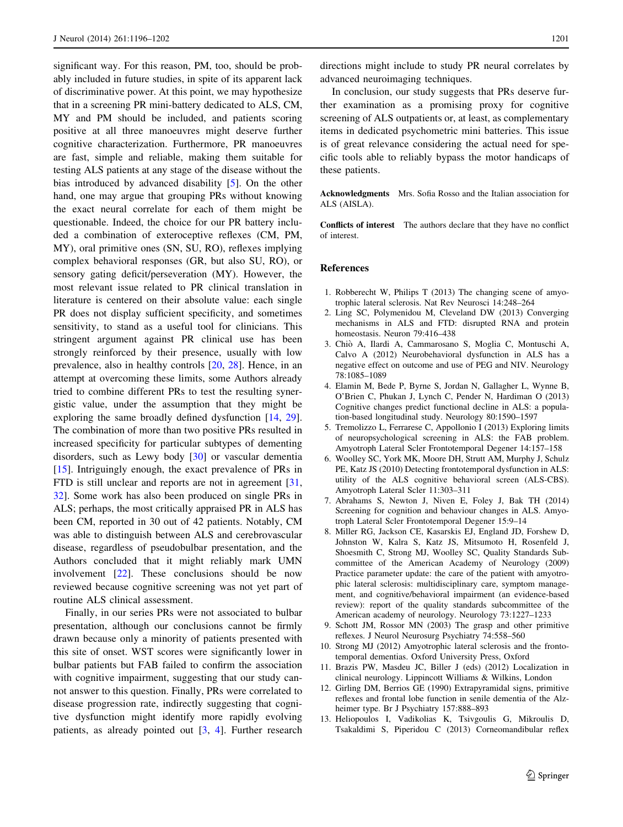<span id="page-5-0"></span>significant way. For this reason, PM, too, should be probably included in future studies, in spite of its apparent lack of discriminative power. At this point, we may hypothesize that in a screening PR mini-battery dedicated to ALS, CM, MY and PM should be included, and patients scoring positive at all three manoeuvres might deserve further cognitive characterization. Furthermore, PR manoeuvres are fast, simple and reliable, making them suitable for testing ALS patients at any stage of the disease without the bias introduced by advanced disability [5]. On the other hand, one may argue that grouping PRs without knowing the exact neural correlate for each of them might be questionable. Indeed, the choice for our PR battery included a combination of exteroceptive reflexes (CM, PM, MY), oral primitive ones (SN, SU, RO), reflexes implying complex behavioral responses (GR, but also SU, RO), or sensory gating deficit/perseveration (MY). However, the most relevant issue related to PR clinical translation in literature is centered on their absolute value: each single PR does not display sufficient specificity, and sometimes sensitivity, to stand as a useful tool for clinicians. This stringent argument against PR clinical use has been strongly reinforced by their presence, usually with low prevalence, also in healthy controls [\[20](#page-6-0), [28](#page-6-0)]. Hence, in an attempt at overcoming these limits, some Authors already tried to combine different PRs to test the resulting synergistic value, under the assumption that they might be exploring the same broadly defined dysfunction [[14,](#page-6-0) [29](#page-6-0)]. The combination of more than two positive PRs resulted in increased specificity for particular subtypes of dementing disorders, such as Lewy body [\[30](#page-6-0)] or vascular dementia [\[15](#page-6-0)]. Intriguingly enough, the exact prevalence of PRs in FTD is still unclear and reports are not in agreement [[31,](#page-6-0) [32\]](#page-6-0). Some work has also been produced on single PRs in ALS; perhaps, the most critically appraised PR in ALS has been CM, reported in 30 out of 42 patients. Notably, CM was able to distinguish between ALS and cerebrovascular disease, regardless of pseudobulbar presentation, and the Authors concluded that it might reliably mark UMN involvement [[22\]](#page-6-0). These conclusions should be now reviewed because cognitive screening was not yet part of routine ALS clinical assessment.

Finally, in our series PRs were not associated to bulbar presentation, although our conclusions cannot be firmly drawn because only a minority of patients presented with this site of onset. WST scores were significantly lower in bulbar patients but FAB failed to confirm the association with cognitive impairment, suggesting that our study cannot answer to this question. Finally, PRs were correlated to disease progression rate, indirectly suggesting that cognitive dysfunction might identify more rapidly evolving patients, as already pointed out [3, 4]. Further research directions might include to study PR neural correlates by advanced neuroimaging techniques.

In conclusion, our study suggests that PRs deserve further examination as a promising proxy for cognitive screening of ALS outpatients or, at least, as complementary items in dedicated psychometric mini batteries. This issue is of great relevance considering the actual need for specific tools able to reliably bypass the motor handicaps of these patients.

Acknowledgments Mrs. Sofia Rosso and the Italian association for ALS (AISLA).

Conflicts of interest The authors declare that they have no conflict of interest.

# References

- 1. Robberecht W, Philips T (2013) The changing scene of amyotrophic lateral sclerosis. Nat Rev Neurosci 14:248–264
- 2. Ling SC, Polymenidou M, Cleveland DW (2013) Converging mechanisms in ALS and FTD: disrupted RNA and protein homeostasis. Neuron 79:416–438
- 3. Chio` A, Ilardi A, Cammarosano S, Moglia C, Montuschi A, Calvo A (2012) Neurobehavioral dysfunction in ALS has a negative effect on outcome and use of PEG and NIV. Neurology 78:1085–1089
- 4. Elamin M, Bede P, Byrne S, Jordan N, Gallagher L, Wynne B, O'Brien C, Phukan J, Lynch C, Pender N, Hardiman O (2013) Cognitive changes predict functional decline in ALS: a population-based longitudinal study. Neurology 80:1590–1597
- 5. Tremolizzo L, Ferrarese C, Appollonio I (2013) Exploring limits of neuropsychological screening in ALS: the FAB problem. Amyotroph Lateral Scler Frontotemporal Degener 14:157–158
- 6. Woolley SC, York MK, Moore DH, Strutt AM, Murphy J, Schulz PE, Katz JS (2010) Detecting frontotemporal dysfunction in ALS: utility of the ALS cognitive behavioral screen (ALS-CBS). Amyotroph Lateral Scler 11:303–311
- 7. Abrahams S, Newton J, Niven E, Foley J, Bak TH (2014) Screening for cognition and behaviour changes in ALS. Amyotroph Lateral Scler Frontotemporal Degener 15:9–14
- 8. Miller RG, Jackson CE, Kasarskis EJ, England JD, Forshew D, Johnston W, Kalra S, Katz JS, Mitsumoto H, Rosenfeld J, Shoesmith C, Strong MJ, Woolley SC, Quality Standards Subcommittee of the American Academy of Neurology (2009) Practice parameter update: the care of the patient with amyotrophic lateral sclerosis: multidisciplinary care, symptom management, and cognitive/behavioral impairment (an evidence-based review): report of the quality standards subcommittee of the American academy of neurology. Neurology 73:1227–1233
- 9. Schott JM, Rossor MN (2003) The grasp and other primitive reflexes. J Neurol Neurosurg Psychiatry 74:558–560
- 10. Strong MJ (2012) Amyotrophic lateral sclerosis and the frontotemporal dementias. Oxford University Press, Oxford
- 11. Brazis PW, Masdeu JC, Biller J (eds) (2012) Localization in clinical neurology. Lippincott Williams & Wilkins, London
- 12. Girling DM, Berrios GE (1990) Extrapyramidal signs, primitive reflexes and frontal lobe function in senile dementia of the Alzheimer type. Br J Psychiatry 157:888–893
- 13. Heliopoulos I, Vadikolias K, Tsivgoulis G, Mikroulis D, Tsakaldimi S, Piperidou C (2013) Corneomandibular reflex